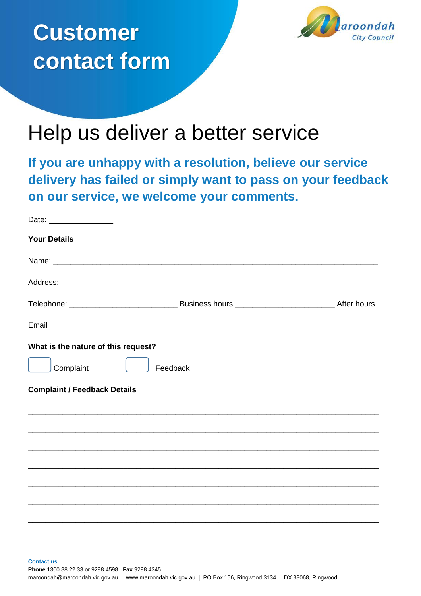



## Help us deliver a better service

**If you are unhappy with a resolution, believe our service delivery has failed or simply want to pass on your feedback on our service, we welcome your comments.**

| Date: _______________               |                                                                                                                      |  |
|-------------------------------------|----------------------------------------------------------------------------------------------------------------------|--|
| <b>Your Details</b>                 |                                                                                                                      |  |
|                                     |                                                                                                                      |  |
|                                     |                                                                                                                      |  |
|                                     |                                                                                                                      |  |
|                                     |                                                                                                                      |  |
| What is the nature of this request? |                                                                                                                      |  |
| Complaint                           | Feedback                                                                                                             |  |
| <b>Complaint / Feedback Details</b> |                                                                                                                      |  |
|                                     |                                                                                                                      |  |
|                                     |                                                                                                                      |  |
|                                     | <u> 1989 - Johann Barn, mars eta bat erroman erroman erroman erroman erroman ezkin ezkin erroman ezkin ezkin ezk</u> |  |
|                                     |                                                                                                                      |  |
|                                     |                                                                                                                      |  |
|                                     |                                                                                                                      |  |
|                                     |                                                                                                                      |  |